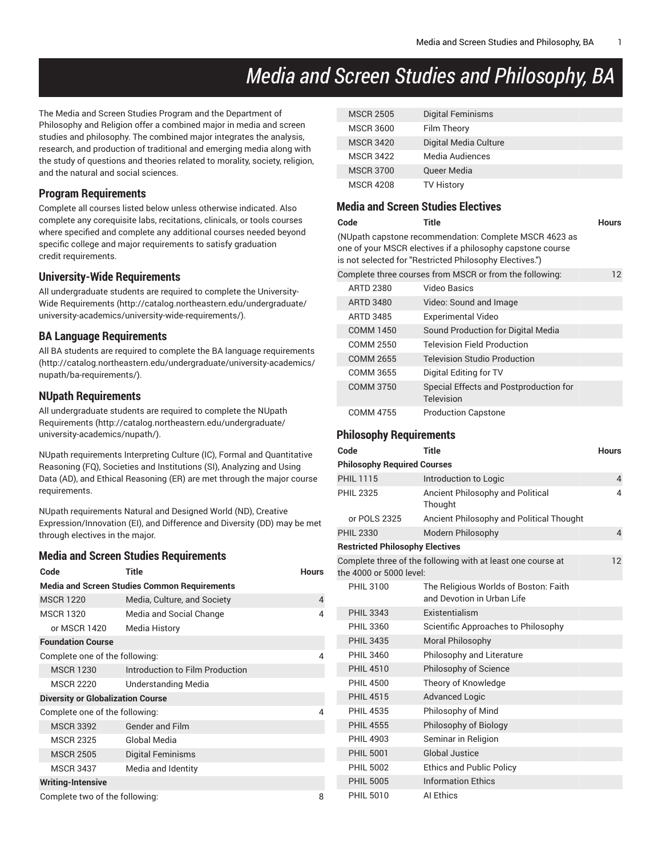# *Media and Screen Studies and Philosophy, BA*

The Media and Screen Studies Program and the Department of Philosophy and Religion offer a combined major in media and screen studies and philosophy. The combined major integrates the analysis, research, and production of traditional and emerging media along with the study of questions and theories related to morality, society, religion, and the natural and social sciences.

#### **Program Requirements**

Complete all courses listed below unless otherwise indicated. Also complete any corequisite labs, recitations, clinicals, or tools courses where specified and complete any additional courses needed beyond specific college and major requirements to satisfy graduation credit requirements.

#### **University-Wide Requirements**

All undergraduate students are required to complete the [University-](http://catalog.northeastern.edu/undergraduate/university-academics/university-wide-requirements/)Wide [Requirements](http://catalog.northeastern.edu/undergraduate/university-academics/university-wide-requirements/) ([http://catalog.northeastern.edu/undergraduate/](http://catalog.northeastern.edu/undergraduate/university-academics/university-wide-requirements/) [university-academics/university-wide-requirements/\)](http://catalog.northeastern.edu/undergraduate/university-academics/university-wide-requirements/).

#### **BA Language Requirements**

All BA students are required to complete the BA language [requirements](http://catalog.northeastern.edu/undergraduate/university-academics/nupath/ba-requirements/) ([http://catalog.northeastern.edu/undergraduate/university-academics/](http://catalog.northeastern.edu/undergraduate/university-academics/nupath/ba-requirements/) [nupath/ba-requirements/\)](http://catalog.northeastern.edu/undergraduate/university-academics/nupath/ba-requirements/).

## **NUpath Requirements**

All undergraduate students are required to complete the [NUpath](http://catalog.northeastern.edu/undergraduate/university-academics/nupath/) [Requirements](http://catalog.northeastern.edu/undergraduate/university-academics/nupath/) ([http://catalog.northeastern.edu/undergraduate/](http://catalog.northeastern.edu/undergraduate/university-academics/nupath/) [university-academics/nupath/](http://catalog.northeastern.edu/undergraduate/university-academics/nupath/)).

NUpath requirements Interpreting Culture (IC), Formal and Quantitative Reasoning (FQ), Societies and Institutions (SI), Analyzing and Using Data (AD), and Ethical Reasoning (ER) are met through the major course requirements.

NUpath requirements Natural and Designed World (ND), Creative Expression/Innovation (EI), and Difference and Diversity (DD) may be met through electives in the major.

#### **Media and Screen Studies Requirements**

| Code                                                | Title                           | <b>Hours</b> |  |  |  |
|-----------------------------------------------------|---------------------------------|--------------|--|--|--|
| <b>Media and Screen Studies Common Requirements</b> |                                 |              |  |  |  |
| <b>MSCR 1220</b>                                    | Media, Culture, and Society     | 4            |  |  |  |
| <b>MSCR 1320</b>                                    | Media and Social Change         | 4            |  |  |  |
| or MSCR 1420                                        | Media History                   |              |  |  |  |
| <b>Foundation Course</b>                            |                                 |              |  |  |  |
| Complete one of the following:                      |                                 |              |  |  |  |
| <b>MSCR 1230</b>                                    | Introduction to Film Production |              |  |  |  |
| <b>MSCR 2220</b>                                    | <b>Understanding Media</b>      |              |  |  |  |
| <b>Diversity or Globalization Course</b>            |                                 |              |  |  |  |
| Complete one of the following:                      |                                 | 4            |  |  |  |
| <b>MSCR 3392</b>                                    | <b>Gender and Film</b>          |              |  |  |  |
| <b>MSCR 2325</b>                                    | Global Media                    |              |  |  |  |
| <b>MSCR 2505</b>                                    | Digital Feminisms               |              |  |  |  |
| <b>MSCR 3437</b>                                    | Media and Identity              |              |  |  |  |
| <b>Writing-Intensive</b>                            |                                 |              |  |  |  |
| Complete two of the following:                      |                                 |              |  |  |  |

| <b>MSCR 2505</b> | <b>Digital Feminisms</b> |
|------------------|--------------------------|
| <b>MSCR 3600</b> | Film Theory              |
| <b>MSCR 3420</b> | Digital Media Culture    |
| <b>MSCR 3422</b> | Media Audiences          |
| <b>MSCR 3700</b> | <b>Queer Media</b>       |
| <b>MSCR 4208</b> | <b>TV History</b>        |

#### **Media and Screen Studies Electives**

| Code                  | Title<br>(NUpath capstone recommendation: Complete MSCR 4623 as<br>one of your MSCR electives if a philosophy capstone course<br>is not selected for "Restricted Philosophy Electives.") | Hours             |
|-----------------------|------------------------------------------------------------------------------------------------------------------------------------------------------------------------------------------|-------------------|
|                       | Complete three courses from MSCR or from the following:                                                                                                                                  | $12 \overline{ }$ |
| <b>ARTD 2380</b>      | Video Basics                                                                                                                                                                             |                   |
| <b>ARTD 3480</b>      | Video: Sound and Image                                                                                                                                                                   |                   |
| ARTD 3485             | <b>Experimental Video</b>                                                                                                                                                                |                   |
| <b>COMM 1450</b>      | Sound Production for Digital Media                                                                                                                                                       |                   |
| COMM 2550             | <b>Television Field Production</b>                                                                                                                                                       |                   |
| <b>COMM 2655</b>      | <b>Television Studio Production</b>                                                                                                                                                      |                   |
| COMM 3655             | Digital Editing for TV                                                                                                                                                                   |                   |
| COMM 3750             | Special Effects and Postproduction for<br>Television                                                                                                                                     |                   |
| <b>COMM 4755</b><br>. | <b>Production Capstone</b>                                                                                                                                                               |                   |

## **Philosophy Requirements**

| Code                                   | Title                                                               | <b>Hours</b>   |
|----------------------------------------|---------------------------------------------------------------------|----------------|
| <b>Philosophy Required Courses</b>     |                                                                     |                |
| <b>PHIL 1115</b>                       | Introduction to Logic                                               | 4              |
| <b>PHIL 2325</b>                       | Ancient Philosophy and Political<br>Thought                         | 4              |
| or POLS 2325                           | Ancient Philosophy and Political Thought                            |                |
| <b>PHIL 2330</b>                       | Modern Philosophy                                                   | $\overline{4}$ |
| <b>Restricted Philosophy Electives</b> |                                                                     |                |
| the 4000 or 5000 level:                | Complete three of the following with at least one course at         | 12             |
| <b>PHIL 3100</b>                       | The Religious Worlds of Boston: Faith<br>and Devotion in Urban Life |                |
| <b>PHIL 3343</b>                       | Existentialism                                                      |                |
| <b>PHIL 3360</b>                       | Scientific Approaches to Philosophy                                 |                |
| <b>PHIL 3435</b>                       | <b>Moral Philosophy</b>                                             |                |
| <b>PHIL 3460</b>                       | Philosophy and Literature                                           |                |
| <b>PHIL 4510</b>                       | Philosophy of Science                                               |                |
| <b>PHIL 4500</b>                       | Theory of Knowledge                                                 |                |
| <b>PHIL 4515</b>                       | <b>Advanced Logic</b>                                               |                |
| <b>PHIL 4535</b>                       | Philosophy of Mind                                                  |                |
| <b>PHIL 4555</b>                       | Philosophy of Biology                                               |                |
| <b>PHIL 4903</b>                       | Seminar in Religion                                                 |                |
| <b>PHIL 5001</b>                       | <b>Global Justice</b>                                               |                |
| <b>PHIL 5002</b>                       | <b>Ethics and Public Policy</b>                                     |                |
| <b>PHIL 5005</b>                       | <b>Information Ethics</b>                                           |                |
| <b>PHIL 5010</b>                       | Al Ethics                                                           |                |